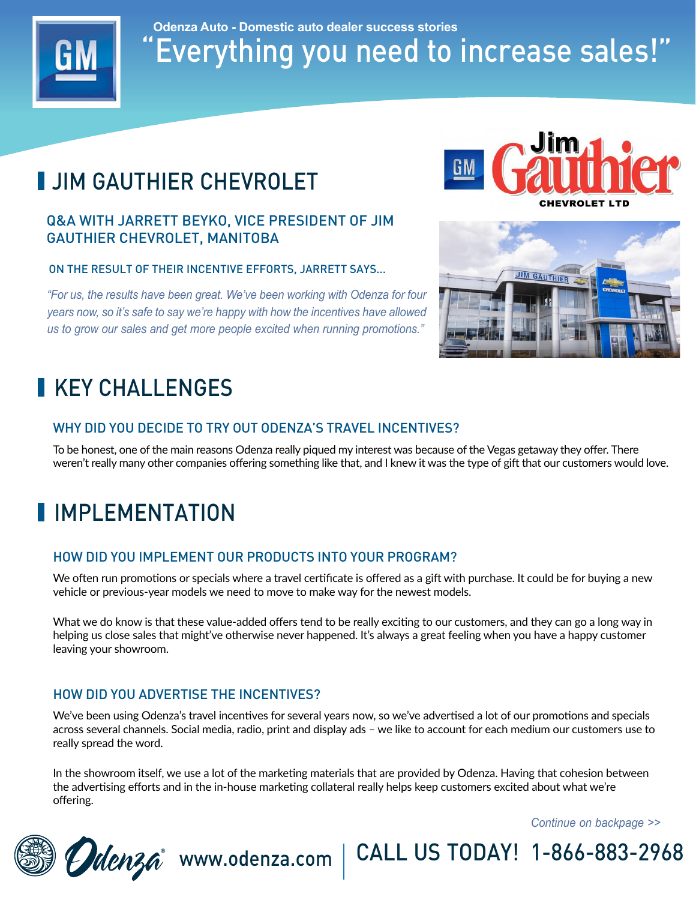

"Everything you need to increase sales!" **Odenza Auto - Domestic auto dealer success stories**

# **JIM GAUTHIER CHEVROLET**

### Q&A WITH JARRETT BEYKO, VICE PRESIDENT OF JIM GAUTHIER CHEVROLET, MANITOBA

ON THE RESULT OF THEIR INCENTIVE EFFORTS, JARRETT SAYS...

*"For us, the results have been great. We've been working with Odenza for four years now, so it's safe to say we're happy with how the incentives have allowed us to grow our sales and get more people excited when running promotions."*

## KEY CHALL FNGES

#### WHY DID YOU DECIDE TO TRY OUT ODENZA'S TRAVEL INCENTIVES?

To be honest, one of the main reasons Odenza really piqued my interest was because of the Vegas getaway they offer. There weren't really many other companies offering something like that, and I knew it was the type of gift that our customers would love.

### **I** IMPI FMFNTATION

#### HOW DID YOU IMPLEMENT OUR PRODUCTS INTO YOUR PROGRAM?

We often run promotions or specials where a travel certificate is offered as a gift with purchase. It could be for buying a new vehicle or previous-year models we need to move to make way for the newest models.

What we do know is that these value-added offers tend to be really exciting to our customers, and they can go a long way in helping us close sales that might've otherwise never happened. It's always a great feeling when you have a happy customer leaving your showroom.

#### HOW DID YOU ADVERTISE THE INCENTIVES?

We've been using Odenza's travel incentives for several years now, so we've advertised a lot of our promotions and specials across several channels. Social media, radio, print and display ads – we like to account for each medium our customers use to really spread the word.

In the showroom itself, we use a lot of the marketing materials that are provided by Odenza. Having that cohesion between the advertising efforts and in the in-house marketing collateral really helps keep customers excited about what we're offering.

Ddenza www.odenza.com | CALL US TODAY! 1-866-883-2968

*Continue on backpage >>*